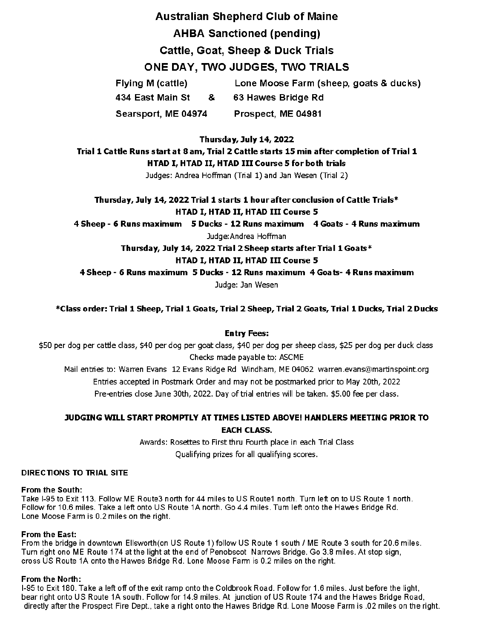# Australian Shepherd Club of Maine AHBA Sanctioned (pending) Cattle, Goat, Sheep & Duck Trials ONE DAY, TWO JUDGES, TWO TRIALS

Flying M (cattle) 434 East Main St & Searsport, ME 04974 Lone Moose Farm (sheep, goats & ducks) 63 Hawes Bridge Rd Prospect, ME 04981

**Thursday, July 14, 2022** 

**Trial 1 Cattle Runs start at 8 am, Trial 2 Cattle starts 15 min after completion of Trial 1 HTAD** I, **HTAD** II, **HTAD Ill Course 5 for both trials** 

Judges: Andrea Hoffman (Trial 1) and Jan Wesen (Trial 2)

**Thursday, July 14, 2022 Trial 1 starts 1 hour after conclusion of Cattle Trials\* HTAD** I, **HTAD** II, **HTAD Ill Course 5** 

**4 Sheep** - **6 Runs maximum 5 Ducks** - **12 Runs maximum 4 Goats** - **4 Runs maximum** 

Judge:Andrea Hoffman

**Thursday, July 14, 2022 Trial 2Sheep starts after Trial 1 Goats\*** 

**HTAD** I, **HTAD** II, **HTAD Ill Course 5** 

**4 Sheep** - **6 Runs maximum 5 Ducks** - **12 Runs maximum 4 Goats- 4 Runs maximum** 

Judge: Jan Wesen

**\*Class order: Trial 1 Sheep, Trial 1 Goats, Trial 2 Sheep, Trial 2 Goats, Trial 1 Ducks, Trial 2 Ducks** 

## **Entry Fees:**

\$50 per dog per cattle class, \$40 per dog per goat class, \$40 per dog per sheep class, \$25 per dog per duck class Checks made payable to: ASCME

Mail entries to: Warren Evans 12 Evans Ridge Rd Windham, ME 04062 warren.evans@martinspoint.org Entries accepted in Postmark Order and may not be postmarked prior to May 20th, 2022 Pre-entries close June 30th, 2022. Day of trial entries will be taken. \$5.00 fee per class.

# **JUDGING WILL START PROMPTLY AT TIMES LISTED ABOVE! HANDLERS MEETING PRIOR TO EACH CLASS.**

Awards: Rosettes to First thru Fourth place in each Trial Class Qualifying prizes for all qualifying scores.

## **DIRECTIONS TO TRIAL SITE**

## **From the South:**

Take 1-95 to Exit 113. Follow ME Route3 north for 44 miles to US Route1 north. Turn left on to US Route 1 north. Follow for 10.6 miles. Take a left onto US Route 1A north. Go 4.4 miles. Tum left onto the Hawes Bridge Rd. Lone Moose Farm is 0.2 miles on the right.

## **From the East:**

From the bridge in downtown Ellsworth(on US Route 1) follow US Route 1 south/ ME Route 3 south for 20.6 miles. Turn right ono ME Route 174 at the light at the end of Penobscot Narrows Bridge. Go 3.8 miles. At stop sign, cross US Route 1A onto the Hawes Bridge Rd. Lone Moose Farm is 0.2 miles on the right.

## **From the North:**

1-95 to Exit 180. Take a left off of the exit ramp onto the Coldbrook Road. Follow for 1.6 miles. Ju st before the light, bear right onto US Route 1A south. Follow for 14.9 miles. At junction of US Route 174 and the Hawes Bridge Road, directly after the Prospect Fire Dept., take a right onto the Hawes Bridge Rd. Lone Moose Farm is .02 miles on the right.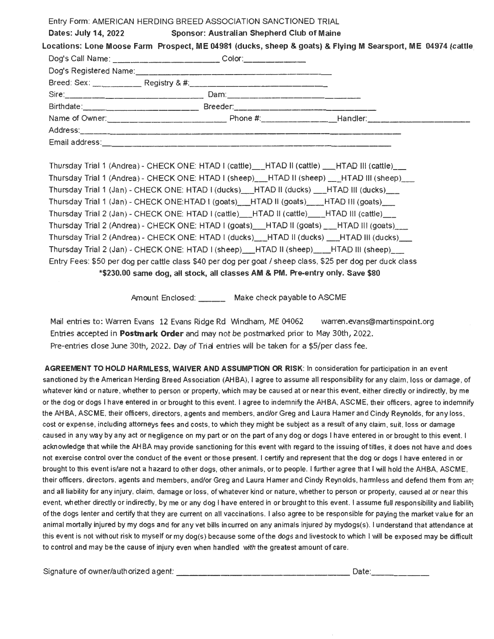| Entry Form: AMERICAN HERDING BREED ASSOCIATION SANCTIONED TRIAL                  |                                                                 |  |                                                                                                                         |  |
|----------------------------------------------------------------------------------|-----------------------------------------------------------------|--|-------------------------------------------------------------------------------------------------------------------------|--|
|                                                                                  | Dates: July 14, 2022 Sponsor: Australian Shepherd Club of Maine |  |                                                                                                                         |  |
|                                                                                  |                                                                 |  | Locations: Lone Moose Farm Prospect, ME 04981 (ducks, sheep & goats) & Flying M Searsport, ME 04974 (cattle             |  |
| Dog's Call Name: ________________________________Color:_________________________ |                                                                 |  |                                                                                                                         |  |
|                                                                                  |                                                                 |  |                                                                                                                         |  |
|                                                                                  |                                                                 |  |                                                                                                                         |  |
|                                                                                  |                                                                 |  |                                                                                                                         |  |
|                                                                                  |                                                                 |  |                                                                                                                         |  |
|                                                                                  |                                                                 |  |                                                                                                                         |  |
|                                                                                  |                                                                 |  |                                                                                                                         |  |
| Email address:                                                                   |                                                                 |  | <u> 1980 - Januar Bernard Bernard Bernard Bernard Bernard Bernard Bernard Bernard Bernard Bernard Bernard Bernard B</u> |  |

Thursday Trial 1 (Andrea) - CHECK ONE: HTAD I (cattle) \_\_ HTAD II (cattle) \_\_ HTAD III (cattle) Thursday Trial 1 (Andrea) - CHECK ONE: HTAD I (sheep) \_\_\_HTAD II (sheep) \_\_\_HTAD III (sheep) Thursday Trial 1 (Jan) - CHECK ONE: HTAD I (ducks) \_\_ HTAD II (ducks) \_\_ HTAD III (ducks) Thursday Trial 1 (Jan) - CHECK ONE:HTAD I (goats) \_\_HTAD II (goats) \_\_\_HTAD III (goats) \_\_\_ Thursday Trial 2 (Jan) - CHECK ONE: HTAD I (cattle) \_\_ HTAD II (cattle) \_\_ HTAD III (cattle) Thursday Trial 2 (Andrea) - CHECK ONE: HTAD I (goats) HTAD II (goats) \_\_ HTAD III (goats) \_\_ Thursday Trial 2 (Andrea)- CHECK ONE: HTAD I (ducks) \_\_ HTAD II (ducks) \_\_ HTAD Ill (ducks)\_ Thursday Trial 2 (Jan) - CHECK ONE: HTAD I (sheep) \_\_ HTAD II (sheep) \_\_ HTAD III (sheep) \_\_ Entry Fees: \$50 per dog per cattle class \$40 per dog per goat/ sheep class, \$25 per dog per duck class \*\$230.00 same dog, all stock, all classes **AM** & PM. Pre-entry only. Save \$80

Amount Enclosed: \_\_\_\_\_\_ Make check payable to ASCME

Mail entries to: Warren Evans 12 Evans Ridge Rd Windham, ME 04062 warren.evans@martinspoint.org Entries accepted in **Postmark Order** and may not be postmarked prior to May 30th, 2022. Pre-entries close June 30th, 2022. Day of Trial entries will be taken for a \$5/per class fee.

**AGREEMENT TO HOLD HARMLESS, WAIVER AND ASSUMPTION OR RISK:** In consideration for participation in an event sanctioned by the American Herding Breed Association (AHBA), I agree to assume all responsibility for any claim, loss or damage, of whatever kind or nature, whether to person or property, which may be caused at or near this event, either directly or indirectly, by me or the dog or dogs I have entered in or brought to this event. I agree to indemnify the AH BA, ASCME, their officers, agree to indemnify the AHBA, ASCME, their officers, directors, agents and members, and/or Greg and Laura Hamer and Cindy Reynolds, for any loss, cost or expense, including attorneys fees and costs, to which they might be subject as a result of any claim , suit, loss or damage caused in any way by any act or negligence on my part or on the part of any dog or dogs I have entered in or brought to this event. I acknowledge that while the AHBA may provide sanctioning for this event with regard to the issuing of titles, it does not have and does not exercise control over the conduct of the event or those present. I certify and represent that the dog or dogs I have entered in or brought to this event is/are not a hazard to other dogs, other animals, or to people. I further agree that I will hold the AHBA, ASCME, their officers, directors, agents and members, and/or Greg and Laura Hamer and Cindy Reynolds, harmless and defend them from any and all liability for any injury, claim, damage or loss, of whatever kind or nature, whether to person or property, caused at or near this event, whether directly or indirectly, by me or any dog I have entered in or brought to this event. I assume full responsibility and liability of the dogs !enter and certify that they are current on all vaccinations. I also agree to be responsible for paying the market value for an animal mortally injured by my dogs and for any vet bills incurred on any animals injured by mydogs(s). I understand that attendance at this event is not without risk to myself or my dog(s) because some of the dogs and livestock to which I will be exposed may be difficult to control and may be the cause of injury even when handled with the greatest amount of care.

Signature of owner/authorized agent: \_\_\_\_\_\_\_\_\_\_\_\_\_\_\_\_\_\_ Date: \_\_\_\_\_ \_

| _____ |  |
|-------|--|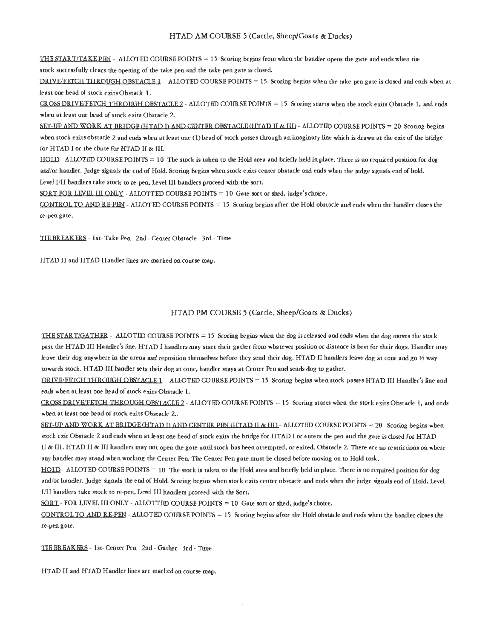#### HTAD AM COURSE 5 (Cattle, Sheep/Goats & Ducks)

THE START/TAKE PEN - ALLOTED COURSE POINTS = 15 Scoring begins from when the handler opens the gate and ends when the stock successfully clears the opening of the take pen and the take pen gate is closed.

DRIVE/FETCH THROUGH OBSTACLE 1 - ALLOTED COURSE POINTS = 15 Scoring begins when the take pen gate is closed and ends when at least one head of stock exits Obstacle 1.

CROSS DRIVE/FETCH THROUGH OBSTACLE 2 - ALLOTED COURSE POINTS = 15 Scoring starts when the stock exits Obstacle 1, and ends when at least one head of stock exits Obstacle 2.

SET-UP AND WORK AT BRIDGE (HTAD I) AND CENTER OBSTACLE (HTAD II & III) - ALLOTED COURSE POINTS = 20 Scoring begins when stock exits obstacle 2 and ends when at least one (1) head of stock passes through an imaginary line which is drawn at the exit of the bridge for HTAD I or the chute for HTAD II & III.

HOLD - ALLOTED COURSE POINTS = 10 The stock is taken to the Hold area and briefly held in place. There is no required position for dog and/or handler. Judge signals the end of Hold. Scoring begins when stock exits center obstacle and ends when the judge signals end of hold. Level I/II handlers take stock to re-pen, Level III handlers proceed with the sort.

SORT FOR LEVEL III ONLY - ALLOTTED COURSE POINTS = 10 Gate sort or shed, judge's choice.

CONTROL TO AND RE-PEN - ALLOTED COURSE POINTS = 15 Scoring begins after the Hold obstacle and ends when the handler closes the re-pea gate.

TIE BREAKERS - 1st- Take Pen 2nd - Center Obstacle 3rd - Time

HTAD II and HTAD Handler lines are marked on course map.

#### HTAD PM COURSE 5 (Cattle, Sheep/Goats & Ducks)

THE START/GATHER - ALLOTED COURSE POINTS = 15 Scoring begins when the dog is released and ends when the dog moves the stock past the HTAD III Handler's line. HTAD I handlers may start their gather from whatever position or distance is best for their dogs. Handler may leave their dog anywhere in the arena and reposition themselves before they send their dog. HTAD II handlers leave dog at cone and go 1/2 way towards stock. HTAD III handler sets their dog at cone, handler stays at Center Pen and sends dog to gather.

DRIVE/FETCH THROUGH OBSTACLE 1 - ALLOTED COURSE POINTS = 15 Scoring begins when stock passes HTAD III Handler's line and eads when at least one head of stock exits Obstacle 1.

CROSS DRIVE/FETCH THROUGH OBSTACLE 2 - ALLOTED COURSE POINTS = 15 Scoring starts when the stock exits Obstacle 1, and ends when at least one head of stock exits Obstacle 2..

SET-UP AND WORK AT BRIDGE (HTAD I) AND CENTER PEN (HTAD II & III) - ALLOTED COURSE POINTS = 20 Scoriag begins when stock exit Obstacle 2 and ends when at least one head of stock exits the bridge for HTAD I or enters the pen and the gate is closed for HTAD II & III. HTAD II & III handlers may not open the gate until stock has been attempted, or exited, Obstacle 2. There are no restrictions on where any handler may stand when working the Center Pen. The Center Pen gate must be closed before moving on to Hold task.

HOLD - ALLOTED COURSE POINTS = 10 The stock is taken to the Hold area and briefly held in place. There is no required position for dog and/or handler. Judge signals the end of Hold. Scoring begins when stock exits center obstacle and ends when the judge signals end of Hold. Level I/II handlers take stock to re-pen, Level III handlers proceed with the Sort.

SORT - FOR LEVEL III ONLY - ALLOTTED COURSE POINTS = 10 Gate sort or shed, judge's choice.

CONTROL TO AND RE-PEN - ALLOTED COURSE POINTS = 15 Scoring begins after the Hold obstacle and ends when the handler closes the re-pen gate.

TIE BREAKERS - 1st- Center Pen 2nd - Gather 3rd - Time

HTAD II and HTAD Handler lines are marked on course map.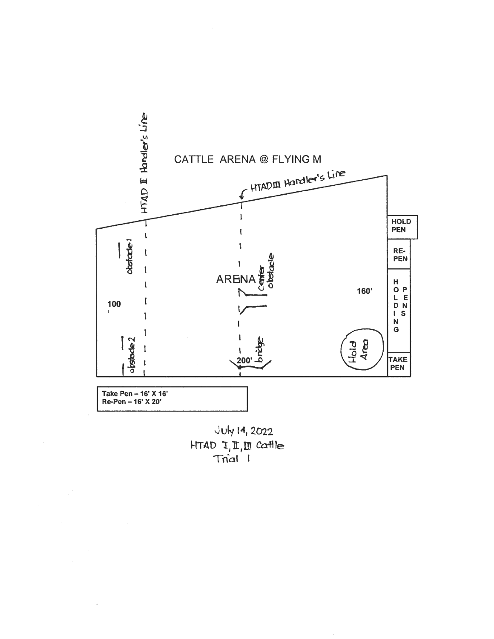

July 14, 2022  $HTAD I, II, III.$  Cattle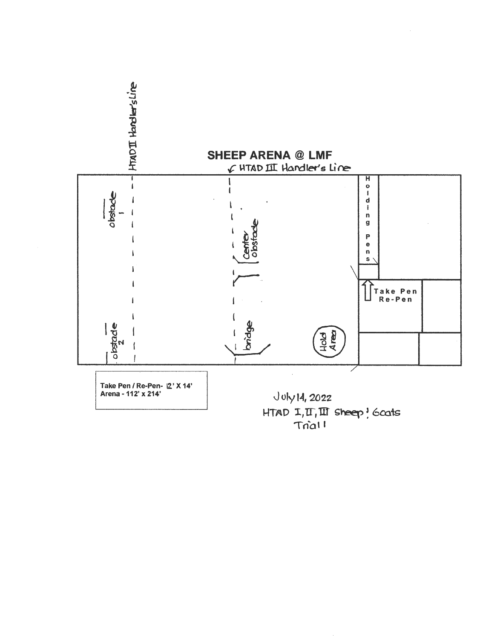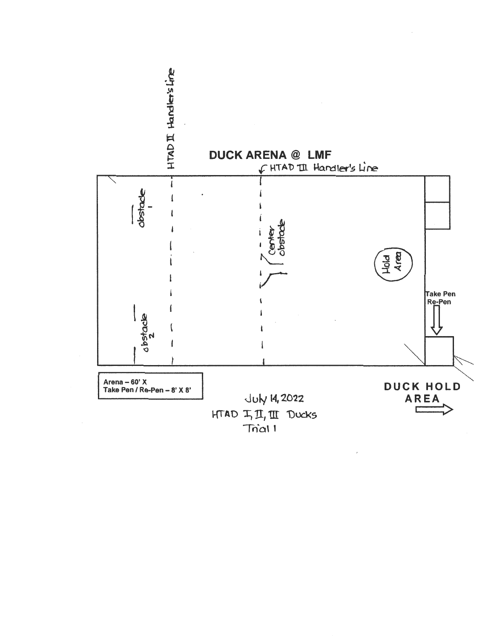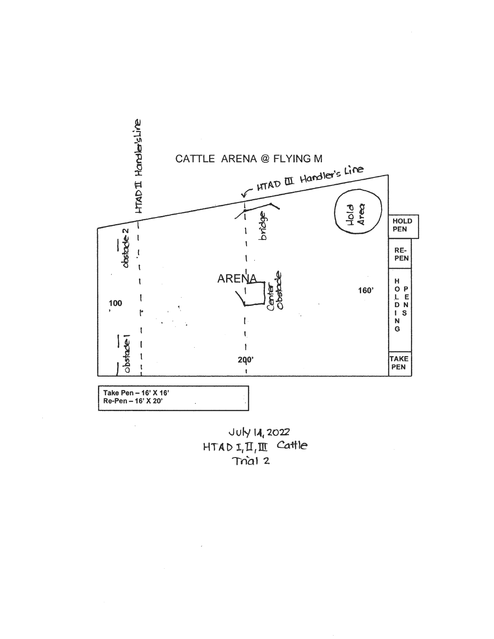

July 14, 2022  $HTADI, II, III$  Cattle Trial 2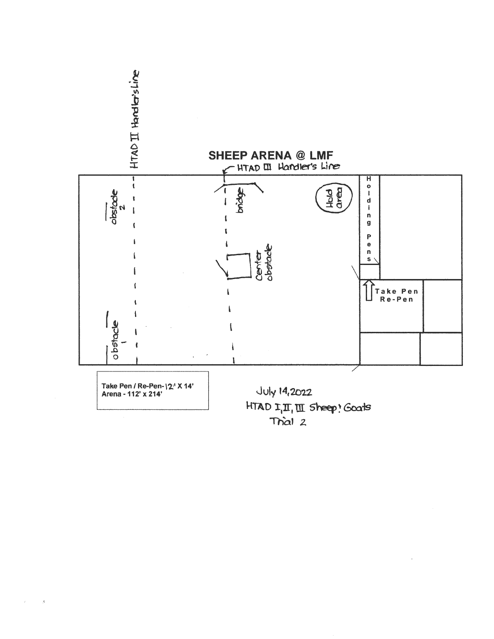

 $\bar{A}$